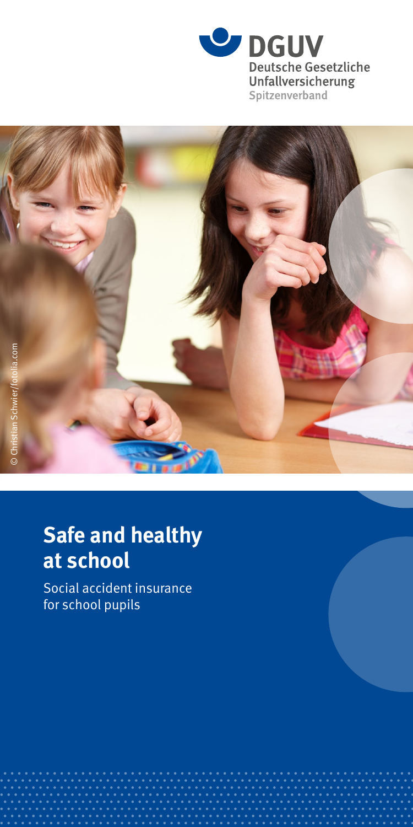



# **Safe and healthy at school**

Social accident insurance for school pupils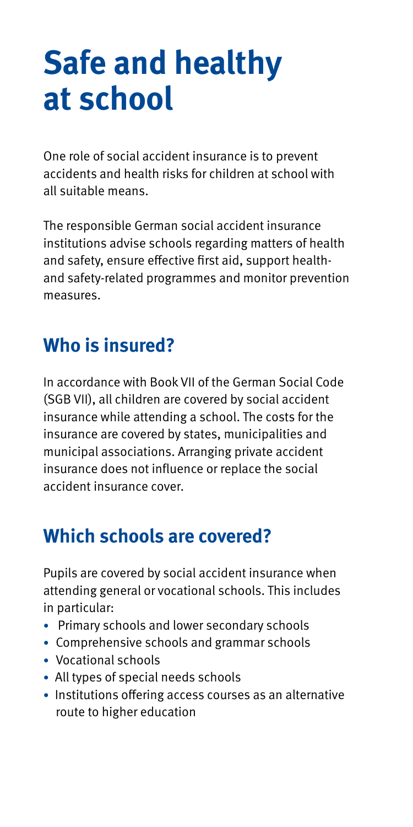# **Safe and healthy at school**

One role of social accident insurance is to prevent accidents and health risks for children at school with all suitable means.

The responsible German social accident insurance institutions advise schools regarding matters of health and safety, ensure effective first aid, support healthand safety-related programmes and monitor prevention measures.

# **Who is insured?**

In accordance with Book VII of the German Social Code (SGB VII), all children are covered by social accident insurance while attending a school. The costs for the insurance are covered by states, municipalities and municipal associations. Arranging private accident insurance does not influence or replace the social accident insurance cover.

# **Which schools are covered?**

Pupils are covered by social accident insurance when attending general or vocational schools. This includes in particular:

- Primary schools and lower secondary schools
- Comprehensive schools and grammar schools
- Vocational schools
- All types of special needs schools
- Institutions offering access courses as an alternative route to higher education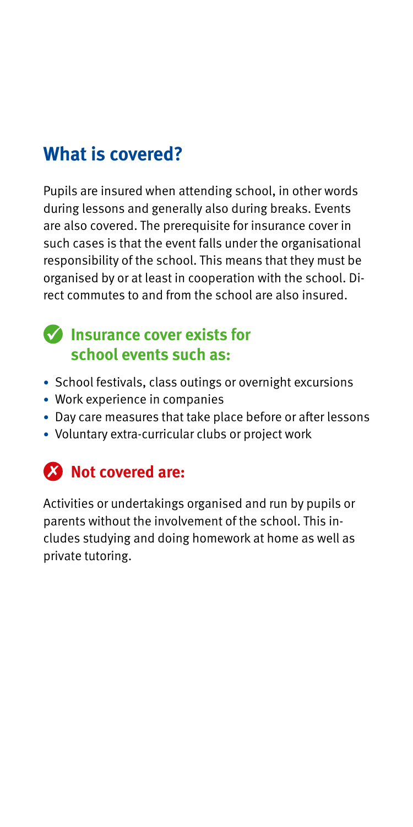# **What is covered?**

Pupils are insured when attending school, in other words during lessons and generally also during breaks. Events are also covered. The prerequisite for insurance cover in such cases is that the event falls under the organisational responsibility of the school. This means that they must be organised by or at least in cooperation with the school. Direct commutes to and from the school are also insured.

#### **Insurance cover exists for school events such as:**

- School festivals, class outings or overnight excursions
- Work experience in companies
- Day care measures that take place before or after lessons
- Voluntary extra-curricular clubs or project work

## **Not covered are:**

Activities or undertakings organised and run by pupils or parents without the involvement of the school. This includes studying and doing homework at home as well as private tutoring.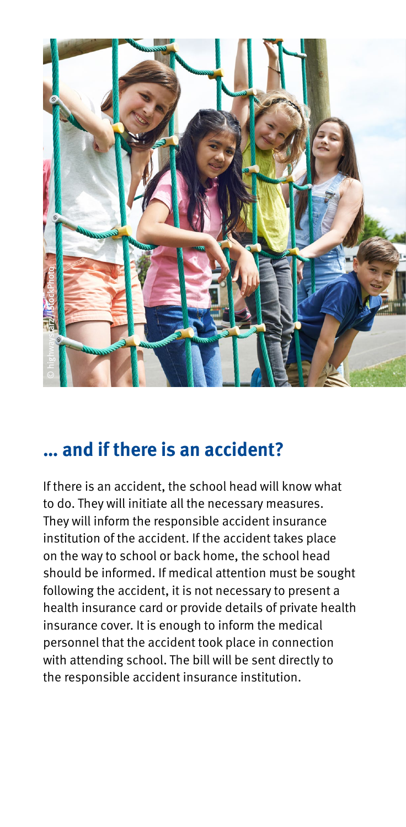

## **… and if there is an accident?**

If there is an accident, the school head will know what to do. They will initiate all the necessary measures. They will inform the responsible accident insurance institution of the accident. If the accident takes place on the way to school or back home, the school head should be informed. If medical attention must be sought following the accident, it is not necessary to present a health insurance card or provide details of private health insurance cover. It is enough to inform the medical personnel that the accident took place in connection with attending school. The bill will be sent directly to the responsible accident insurance institution.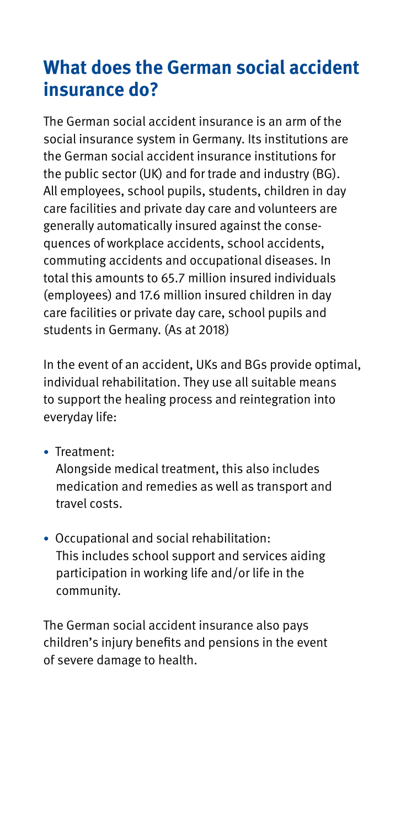# **What does the German social accident insurance do?**

The German social accident insurance is an arm of the social insurance system in Germany. Its institutions are the German social accident insurance institutions for the public sector (UK) and for trade and industry (BG). All employees, school pupils, students, children in day care facilities and private day care and volunteers are generally automatically insured against the consequences of workplace accidents, school accidents, commuting accidents and occupational diseases. In total this amounts to 65.7 million insured individuals (employees) and 17.6 million insured children in day care facilities or private day care, school pupils and students in Germany. (As at 2018)

In the event of an accident, UKs and BGs provide optimal, individual rehabilitation. They use all suitable means to support the healing process and reintegration into everyday life:

• Treatment:

Alongside medical treatment, this also includes medication and remedies as well as transport and travel costs.

• Occupational and social rehabilitation: This includes school support and services aiding participation in working life and/or life in the community.

The German social accident insurance also pays children's injury benefits and pensions in the event of severe damage to health.